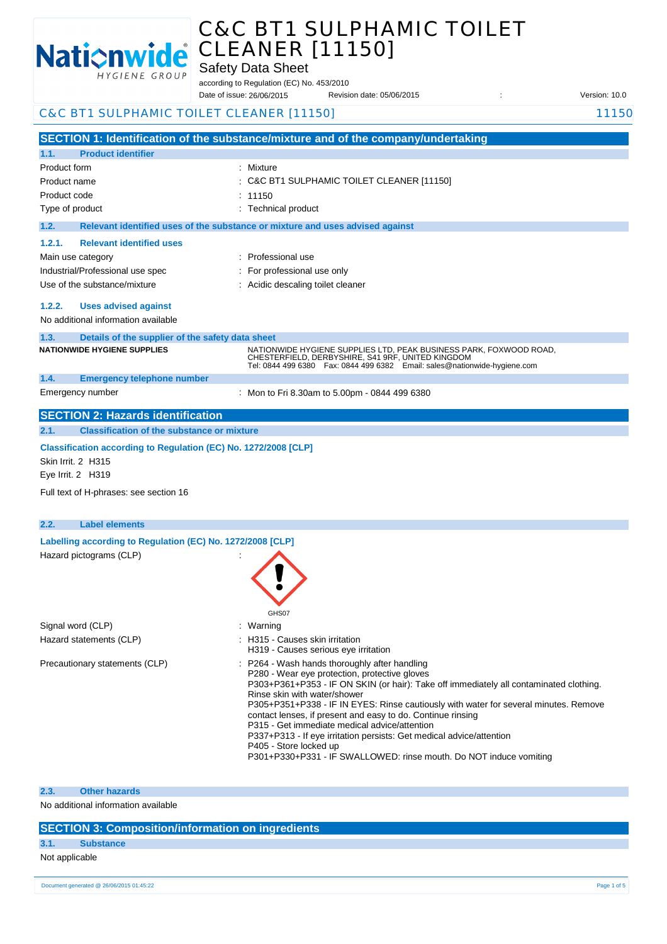

# C&C BT1 SULPHAMIC TOILET

|                                                                                              | C&C BT1 SULPHAMIC TOIL                                                                                                                                                                                 |               |
|----------------------------------------------------------------------------------------------|--------------------------------------------------------------------------------------------------------------------------------------------------------------------------------------------------------|---------------|
|                                                                                              | <b>CLEANER [11150]</b>                                                                                                                                                                                 |               |
| <b>Nationwide</b>                                                                            | <b>Safety Data Sheet</b>                                                                                                                                                                               |               |
| HYGIENE GROUP                                                                                | according to Regulation (EC) No. 453/2010                                                                                                                                                              |               |
|                                                                                              | Date of issue: 26/06/2015<br>Revision date: 05/06/2015                                                                                                                                                 | Version: 10.0 |
| C&C BT1 SULPHAMIC TOILET CLEANER [11150]                                                     |                                                                                                                                                                                                        | 11150         |
|                                                                                              | SECTION 1: Identification of the substance/mixture and of the company/undertaking                                                                                                                      |               |
| <b>Product identifier</b><br>1.1.                                                            |                                                                                                                                                                                                        |               |
| Product form                                                                                 | : Mixture                                                                                                                                                                                              |               |
| Product name                                                                                 | C&C BT1 SULPHAMIC TOILET CLEANER [11150]                                                                                                                                                               |               |
| Product code                                                                                 | 11150                                                                                                                                                                                                  |               |
| Type of product                                                                              | : Technical product                                                                                                                                                                                    |               |
| 1.2.                                                                                         | Relevant identified uses of the substance or mixture and uses advised against                                                                                                                          |               |
| 1.2.1.<br><b>Relevant identified uses</b>                                                    |                                                                                                                                                                                                        |               |
| Main use category                                                                            | : Professional use                                                                                                                                                                                     |               |
| Industrial/Professional use spec                                                             | : For professional use only                                                                                                                                                                            |               |
| Use of the substance/mixture                                                                 | : Acidic descaling toilet cleaner                                                                                                                                                                      |               |
| 1.2.2.<br><b>Uses advised against</b>                                                        |                                                                                                                                                                                                        |               |
| No additional information available                                                          |                                                                                                                                                                                                        |               |
| Details of the supplier of the safety data sheet<br>1.3.                                     |                                                                                                                                                                                                        |               |
| <b>NATIONWIDE HYGIENE SUPPLIES</b>                                                           | NATIONWIDE HYGIENE SUPPLIES LTD, PEAK BUSINESS PARK, FOXWOOD ROAD,<br>CHESTERFIELD, DERBYSHIRE, S41 9RF, UNITED KINGDOM<br>Tel: 0844 499 6380  Fax: 0844 499 6382  Email: sales@nationwide-hygiene.com |               |
| 1.4.<br><b>Emergency telephone number</b>                                                    |                                                                                                                                                                                                        |               |
| Emergency number                                                                             | : Mon to Fri 8.30am to 5.00pm - 0844 499 6380                                                                                                                                                          |               |
| <b>SECTION 2: Hazards identification</b>                                                     |                                                                                                                                                                                                        |               |
| <b>Classification of the substance or mixture</b><br>2.1.                                    |                                                                                                                                                                                                        |               |
| Classification according to Regulation (EC) No. 1272/2008 [CLP]<br><b>Skin Irrit. 2 H315</b> |                                                                                                                                                                                                        |               |
| Eye Irrit. 2 H319                                                                            |                                                                                                                                                                                                        |               |
| Full text of H-phrases: see section 16                                                       |                                                                                                                                                                                                        |               |

| 2.2. | <b>Label elements</b>                                      |                                                                                                                                                                                                                                                                                                                                                                                                                                                                                                                                                                                                          |
|------|------------------------------------------------------------|----------------------------------------------------------------------------------------------------------------------------------------------------------------------------------------------------------------------------------------------------------------------------------------------------------------------------------------------------------------------------------------------------------------------------------------------------------------------------------------------------------------------------------------------------------------------------------------------------------|
|      | Labelling according to Regulation (EC) No. 1272/2008 [CLP] |                                                                                                                                                                                                                                                                                                                                                                                                                                                                                                                                                                                                          |
|      | Hazard pictograms (CLP)                                    | GHS07                                                                                                                                                                                                                                                                                                                                                                                                                                                                                                                                                                                                    |
|      | Signal word (CLP)                                          | : Warning                                                                                                                                                                                                                                                                                                                                                                                                                                                                                                                                                                                                |
|      | Hazard statements (CLP)                                    | : H315 - Causes skin irritation<br>H319 - Causes serious eye irritation                                                                                                                                                                                                                                                                                                                                                                                                                                                                                                                                  |
|      | Precautionary statements (CLP)                             | : P264 - Wash hands thoroughly after handling<br>P280 - Wear eye protection, protective gloves<br>P303+P361+P353 - IF ON SKIN (or hair): Take off immediately all contaminated clothing.<br>Rinse skin with water/shower<br>P305+P351+P338 - IF IN EYES: Rinse cautiously with water for several minutes. Remove<br>contact lenses, if present and easy to do. Continue rinsing<br>P315 - Get immediate medical advice/attention<br>P337+P313 - If eye irritation persists: Get medical advice/attention<br>P405 - Store locked up<br>P301+P330+P331 - IF SWALLOWED: rinse mouth. Do NOT induce vomiting |

## **2.3. Other hazards**

No additional information available

# **SECTION 3: Composition/information on ingredients**

# **3.1. Substance**

Not applicable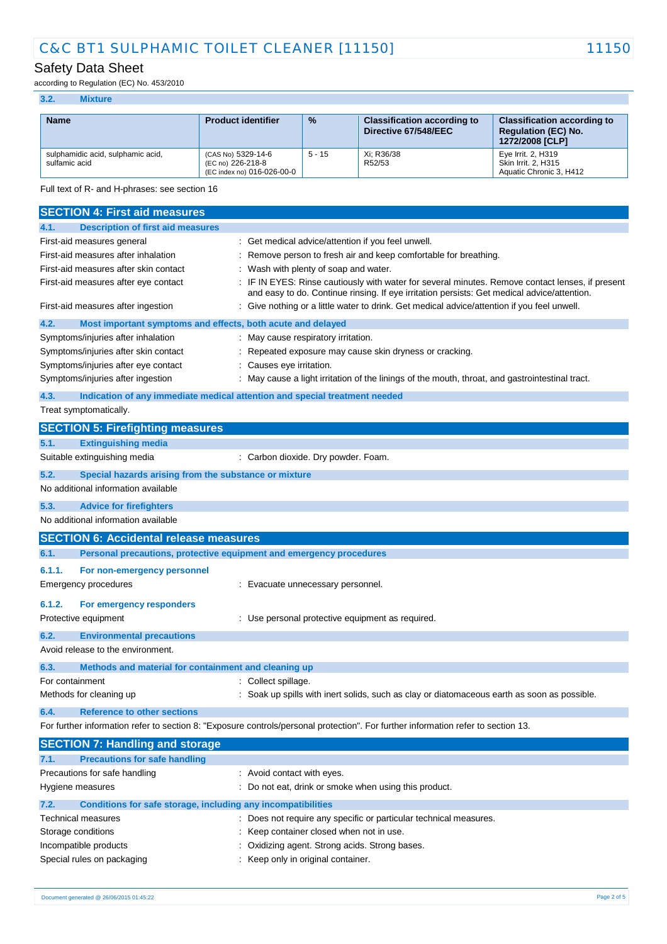# Safety Data Sheet

according to Regulation (EC) No. 453/2010

#### **3.2. Mixture**

| <b>Name</b>                                        | <b>Product identifier</b>                                             | $\frac{9}{6}$ | <b>Classification according to</b><br>Directive 67/548/EEC | <b>Classification according to</b><br><b>Requlation (EC) No.</b><br>1272/2008 [CLP] |
|----------------------------------------------------|-----------------------------------------------------------------------|---------------|------------------------------------------------------------|-------------------------------------------------------------------------------------|
| sulphamidic acid, sulphamic acid,<br>sulfamic acid | (CAS No) 5329-14-6<br>(EC no) 226-218-8<br>(EC index no) 016-026-00-0 | $5 - 15$      | Xi: R36/38<br>R52/53                                       | Eve Irrit, 2, H319<br>Skin Irrit, 2, H315<br>Aquatic Chronic 3, H412                |

Full text of R- and H-phrases: see section 16

| <b>SECTION 4: First aid measures</b>                                        |                                                                                                                                                                                               |
|-----------------------------------------------------------------------------|-----------------------------------------------------------------------------------------------------------------------------------------------------------------------------------------------|
| <b>Description of first aid measures</b><br>4.1.                            |                                                                                                                                                                                               |
| First-aid measures general                                                  | Get medical advice/attention if you feel unwell.                                                                                                                                              |
| First-aid measures after inhalation                                         | Remove person to fresh air and keep comfortable for breathing.                                                                                                                                |
| First-aid measures after skin contact                                       | Wash with plenty of soap and water.                                                                                                                                                           |
| First-aid measures after eye contact                                        | IF IN EYES: Rinse cautiously with water for several minutes. Remove contact lenses, if present<br>and easy to do. Continue rinsing. If eye irritation persists: Get medical advice/attention. |
| First-aid measures after ingestion                                          | Give nothing or a little water to drink. Get medical advice/attention if you feel unwell.                                                                                                     |
| 4.2.<br>Most important symptoms and effects, both acute and delayed         |                                                                                                                                                                                               |
| Symptoms/injuries after inhalation                                          | May cause respiratory irritation.                                                                                                                                                             |
| Symptoms/injuries after skin contact                                        | Repeated exposure may cause skin dryness or cracking.                                                                                                                                         |
| Symptoms/injuries after eye contact                                         | Causes eye irritation.                                                                                                                                                                        |
| Symptoms/injuries after ingestion                                           | May cause a light irritation of the linings of the mouth, throat, and gastrointestinal tract.                                                                                                 |
| 4.3.                                                                        | Indication of any immediate medical attention and special treatment needed                                                                                                                    |
| Treat symptomatically.                                                      |                                                                                                                                                                                               |
| <b>SECTION 5: Firefighting measures</b>                                     |                                                                                                                                                                                               |
| <b>Extinguishing media</b><br>5.1.                                          |                                                                                                                                                                                               |
| Suitable extinguishing media                                                | : Carbon dioxide. Dry powder. Foam.                                                                                                                                                           |
| 5.2.<br>Special hazards arising from the substance or mixture               |                                                                                                                                                                                               |
| No additional information available                                         |                                                                                                                                                                                               |
| 5.3.<br><b>Advice for firefighters</b>                                      |                                                                                                                                                                                               |
| No additional information available                                         |                                                                                                                                                                                               |
| <b>SECTION 6: Accidental release measures</b>                               |                                                                                                                                                                                               |
| Personal precautions, protective equipment and emergency procedures<br>6.1. |                                                                                                                                                                                               |
| 6.1.1.<br>For non-emergency personnel                                       |                                                                                                                                                                                               |
| <b>Emergency procedures</b>                                                 | : Evacuate unnecessary personnel.                                                                                                                                                             |
|                                                                             |                                                                                                                                                                                               |
| 6.1.2.<br>For emergency responders                                          |                                                                                                                                                                                               |
| Protective equipment                                                        | : Use personal protective equipment as required.                                                                                                                                              |
| 6.2.<br><b>Environmental precautions</b>                                    |                                                                                                                                                                                               |
| Avoid release to the environment.                                           |                                                                                                                                                                                               |
| 6.3.<br>Methods and material for containment and cleaning up                |                                                                                                                                                                                               |
| For containment                                                             | : Collect spillage.                                                                                                                                                                           |
| Methods for cleaning up                                                     | : Soak up spills with inert solids, such as clay or diatomaceous earth as soon as possible.                                                                                                   |
| 6.4.<br><b>Reference to other sections</b>                                  |                                                                                                                                                                                               |
|                                                                             | For further information refer to section 8: "Exposure controls/personal protection". For further information refer to section 13.                                                             |
| <b>SECTION 7: Handling and storage</b>                                      |                                                                                                                                                                                               |
| <b>Precautions for safe handling</b><br>7.1.                                |                                                                                                                                                                                               |
| Precautions for safe handling                                               | : Avoid contact with eyes.                                                                                                                                                                    |
| Hygiene measures                                                            | : Do not eat, drink or smoke when using this product.                                                                                                                                         |
| 7.2.<br>Conditions for safe storage, including any incompatibilities        |                                                                                                                                                                                               |
| Technical measures                                                          | Does not require any specific or particular technical measures.                                                                                                                               |
| Storage conditions                                                          | Keep container closed when not in use.                                                                                                                                                        |

Special rules on packaging **interpretate and the Special rules** on packaging in the Keep only in original container.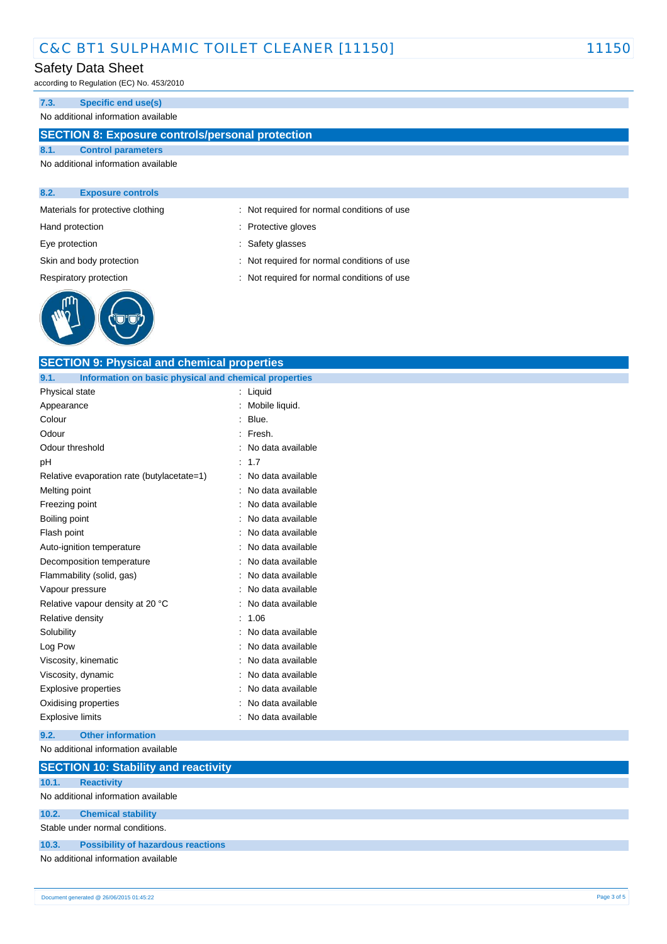## Safety Data Sheet

according to Regulation (EC) No. 453/2010

#### **7.3. Specific end use(s)**

## No additional information available

# **SECTION 8: Exposure controls/personal protection**

**SECTION 9: Physical and chemical properties**

## **8.1. Control parameters** No additional information available

#### **8.2. Exposure controls**

Materials for protective clothing : Not required for normal conditions of use

Hand protection **in the contract of the Contract Servers** entering the Protective gloves

Eye protection  $\qquad \qquad$ : Safety glasses

Skin and body protection : Not required for normal conditions of use

Respiratory protection **interval conditions** : Not required for normal conditions of use



| 9.1.<br>Information on basic physical and chemical properties |                     |
|---------------------------------------------------------------|---------------------|
| Physical state                                                | : Liquid            |
| Appearance                                                    | : Mobile liquid.    |
| Colour                                                        | Blue.               |
| Odour                                                         | Fresh.              |
| Odour threshold                                               | No data available   |
| рH                                                            | : 1.7               |
| Relative evaporation rate (butylacetate=1)                    | : No data available |
| Melting point                                                 | No data available   |
| Freezing point                                                | No data available   |
| Boiling point                                                 | No data available   |
| Flash point                                                   | No data available   |
| Auto-ignition temperature                                     | No data available   |
| Decomposition temperature                                     | No data available   |
| Flammability (solid, gas)                                     | No data available   |
| Vapour pressure                                               | No data available   |
| Relative vapour density at 20 °C                              | No data available   |
| Relative density                                              | 1.06                |
| Solubility                                                    | No data available   |
| Log Pow                                                       | No data available   |
| Viscosity, kinematic                                          | No data available   |
| Viscosity, dynamic                                            | No data available   |
| <b>Explosive properties</b>                                   | No data available   |
| Oxidising properties                                          | No data available   |
| Explosive limits                                              | No data available   |
| 9.2.<br><b>Other information</b>                              |                     |
| No additional information available                           |                     |
| <b>SECTION 10: Stability and reactivity</b>                   |                     |
| <b>Reactivity</b><br>10.1.                                    |                     |
| No additional information available                           |                     |
| <b>Chemical stability</b><br>10.2.                            |                     |
| Stable under normal conditions.                               |                     |
| 10.3.<br><b>Possibility of hazardous reactions</b>            |                     |
| No additional information available                           |                     |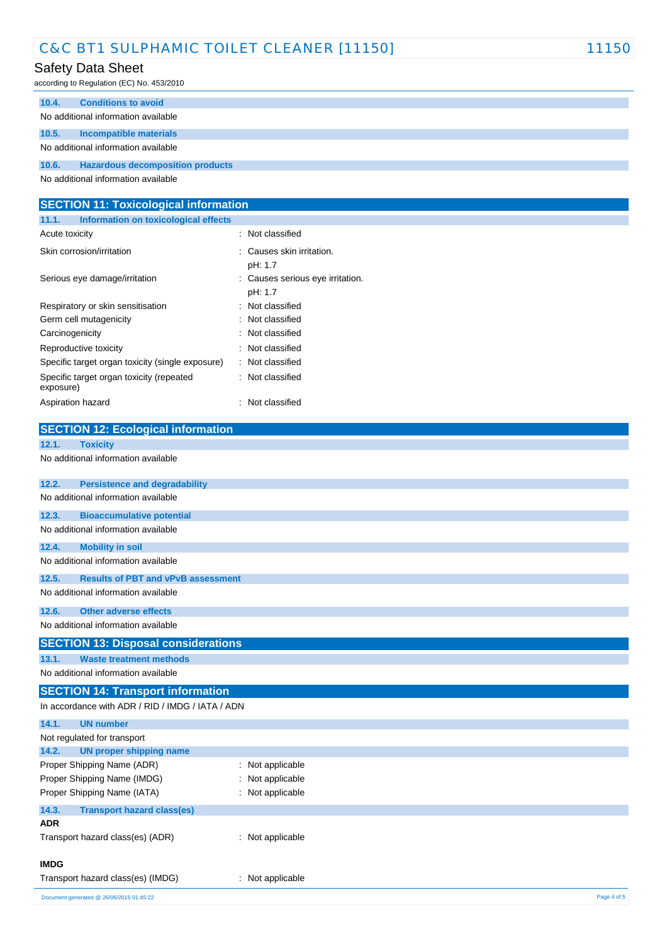# Safety Data Sheet

according to Regulation (EC) No. 453/2010

| 10.4. | <b>Conditions to avoid</b>              |
|-------|-----------------------------------------|
|       | No additional information available     |
| 10.5. | Incompatible materials                  |
|       | No additional information available     |
| 10.6. | <b>Hazardous decomposition products</b> |
|       |                                         |

No additional information available

| <b>SECTION 11: Toxicological information</b>          |                                           |  |  |  |
|-------------------------------------------------------|-------------------------------------------|--|--|--|
| 11.1.<br>Information on toxicological effects         |                                           |  |  |  |
| Acute toxicity                                        | Not classified                            |  |  |  |
| Skin corrosion/irritation                             | Causes skin irritation.<br>pH: 1.7        |  |  |  |
| Serious eye damage/irritation                         | Causes serious eye irritation.<br>pH: 1.7 |  |  |  |
| Respiratory or skin sensitisation                     | Not classified                            |  |  |  |
| Germ cell mutagenicity                                | Not classified                            |  |  |  |
| Carcinogenicity                                       | Not classified                            |  |  |  |
| Reproductive toxicity                                 | Not classified                            |  |  |  |
| Specific target organ toxicity (single exposure)      | Not classified                            |  |  |  |
| Specific target organ toxicity (repeated<br>exposure) | Not classified                            |  |  |  |
| Aspiration hazard                                     | Not classified                            |  |  |  |
| <b>SECTION 12: Ecological information</b>             |                                           |  |  |  |
| 12.1.<br><b>Toxicity</b>                              |                                           |  |  |  |
| No additional information available                   |                                           |  |  |  |
| 12.2.<br><b>Persistence and degradability</b>         |                                           |  |  |  |
| No additional information available                   |                                           |  |  |  |
| 12.3.<br><b>Bioaccumulative potential</b>             |                                           |  |  |  |

# No additional information available

| 12.4. | <b>Mobility in soil</b>             |
|-------|-------------------------------------|
|       | No additional information available |

## **12.5. Results of PBT and vPvB assessment**

No additional information available

## **12.6. Other adverse effects**

No additional information available

# **SECTION 13: Disposal considerations**

**13.1. Waste treatment methods**

No additional information available

#### **SECTION 14: Transport information**  $\overline{a}$  and  $\overline{a}$   $\overline{b}$  /  $\overline{b}$   $\overline{b}$  /  $\overline{b}$  /  $\overline{b}$  /  $\overline{b}$  /  $\overline{b}$  /  $\overline{b}$  /  $\overline{b}$

| In accordance with ADR / RID / IMDG / IATA / ADN |                  |  |  |
|--------------------------------------------------|------------------|--|--|
| 14.1.<br><b>UN number</b>                        |                  |  |  |
| Not regulated for transport                      |                  |  |  |
| 14.2.<br>UN proper shipping name                 |                  |  |  |
| Proper Shipping Name (ADR)                       | : Not applicable |  |  |
| Proper Shipping Name (IMDG)                      | : Not applicable |  |  |
| Proper Shipping Name (IATA)                      | : Not applicable |  |  |
| 14.3.<br><b>Transport hazard class(es)</b>       |                  |  |  |
| <b>ADR</b>                                       |                  |  |  |
| Transport hazard class(es) (ADR)                 | : Not applicable |  |  |
| <b>IMDG</b>                                      |                  |  |  |
| Transport hazard class(es) (IMDG)                | : Not applicable |  |  |